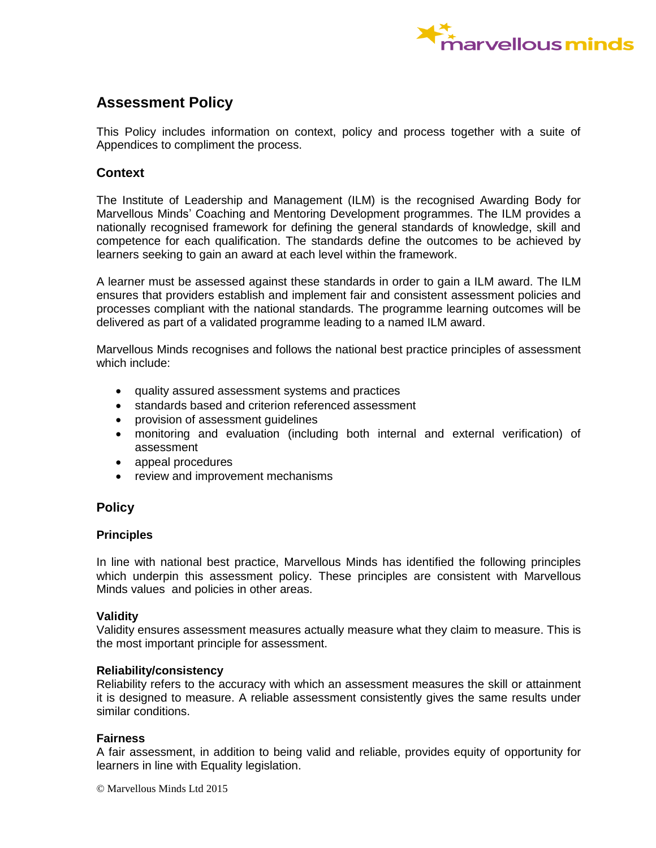

# **Assessment Policy**

This Policy includes information on context, policy and process together with a suite of Appendices to compliment the process.

### **Context**

The Institute of Leadership and Management (ILM) is the recognised Awarding Body for Marvellous Minds' Coaching and Mentoring Development programmes. The ILM provides a nationally recognised framework for defining the general standards of knowledge, skill and competence for each qualification. The standards define the outcomes to be achieved by learners seeking to gain an award at each level within the framework.

A learner must be assessed against these standards in order to gain a ILM award. The ILM ensures that providers establish and implement fair and consistent assessment policies and processes compliant with the national standards. The programme learning outcomes will be delivered as part of a validated programme leading to a named ILM award.

Marvellous Minds recognises and follows the national best practice principles of assessment which include:

- quality assured assessment systems and practices
- standards based and criterion referenced assessment
- provision of assessment guidelines
- monitoring and evaluation (including both internal and external verification) of assessment
- appeal procedures
- review and improvement mechanisms

## **Policy**

### **Principles**

In line with national best practice, Marvellous Minds has identified the following principles which underpin this assessment policy. These principles are consistent with Marvellous Minds values and policies in other areas.

### **Validity**

Validity ensures assessment measures actually measure what they claim to measure. This is the most important principle for assessment.

### **Reliability/consistency**

Reliability refers to the accuracy with which an assessment measures the skill or attainment it is designed to measure. A reliable assessment consistently gives the same results under similar conditions.

### **Fairness**

A fair assessment, in addition to being valid and reliable, provides equity of opportunity for learners in line with Equality legislation.

© Marvellous Minds Ltd 2015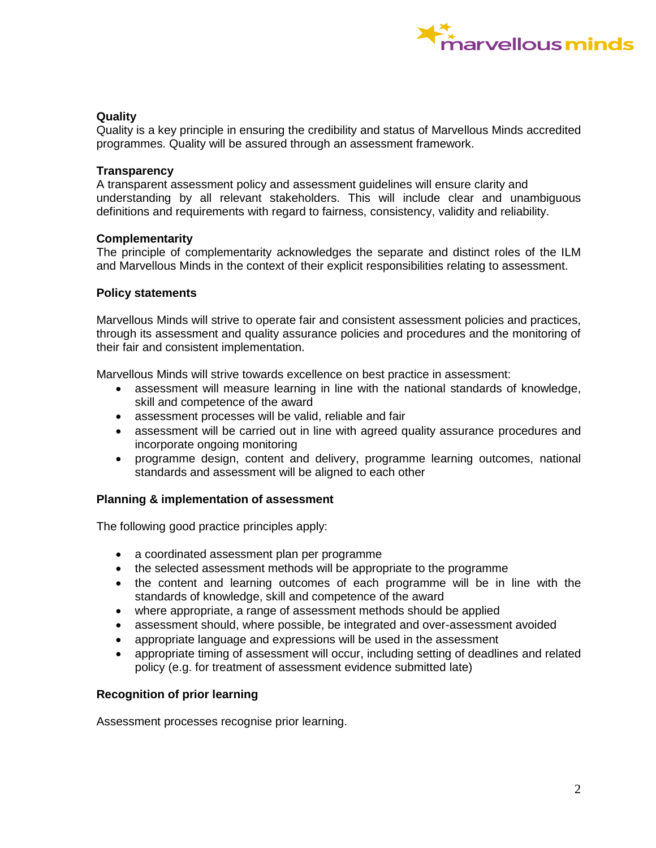

### **Quality**

Quality is a key principle in ensuring the credibility and status of Marvellous Minds accredited programmes. Quality will be assured through an assessment framework.

### **Transparency**

A transparent assessment policy and assessment guidelines will ensure clarity and understanding by all relevant stakeholders. This will include clear and unambiguous definitions and requirements with regard to fairness, consistency, validity and reliability.

### **Complementarity**

The principle of complementarity acknowledges the separate and distinct roles of the ILM and Marvellous Minds in the context of their explicit responsibilities relating to assessment.

### **Policy statements**

Marvellous Minds will strive to operate fair and consistent assessment policies and practices, through its assessment and quality assurance policies and procedures and the monitoring of their fair and consistent implementation.

Marvellous Minds will strive towards excellence on best practice in assessment:

- assessment will measure learning in line with the national standards of knowledge, skill and competence of the award
- assessment processes will be valid, reliable and fair
- assessment will be carried out in line with agreed quality assurance procedures and incorporate ongoing monitoring
- programme design, content and delivery, programme learning outcomes, national standards and assessment will be aligned to each other

### **Planning & implementation of assessment**

The following good practice principles apply:

- a coordinated assessment plan per programme
- the selected assessment methods will be appropriate to the programme
- the content and learning outcomes of each programme will be in line with the standards of knowledge, skill and competence of the award
- where appropriate, a range of assessment methods should be applied
- assessment should, where possible, be integrated and over-assessment avoided
- appropriate language and expressions will be used in the assessment
- appropriate timing of assessment will occur, including setting of deadlines and related policy (e.g. for treatment of assessment evidence submitted late)

### **Recognition of prior learning**

Assessment processes recognise prior learning.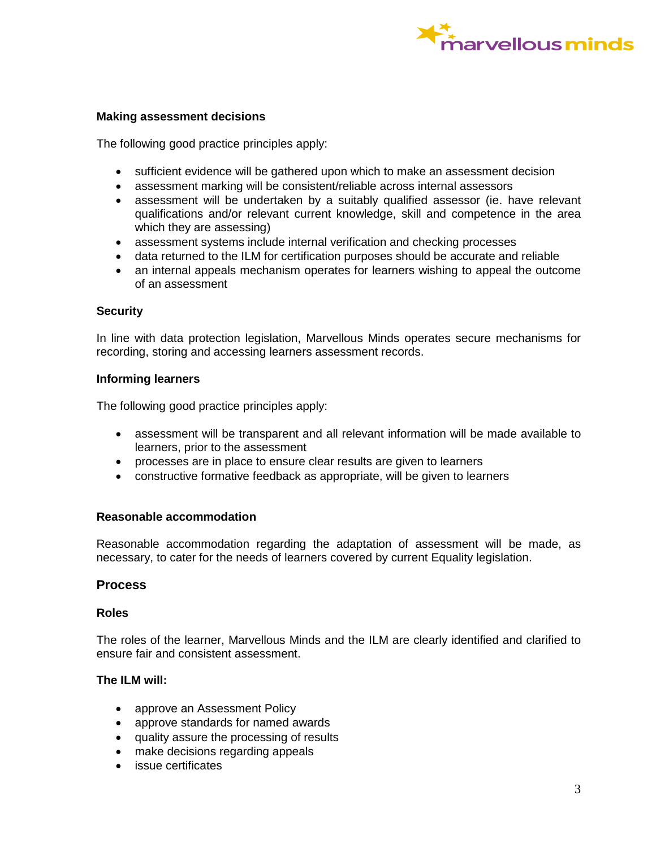

### **Making assessment decisions**

The following good practice principles apply:

- sufficient evidence will be gathered upon which to make an assessment decision
- assessment marking will be consistent/reliable across internal assessors
- assessment will be undertaken by a suitably qualified assessor (ie. have relevant qualifications and/or relevant current knowledge, skill and competence in the area which they are assessing)
- assessment systems include internal verification and checking processes
- data returned to the ILM for certification purposes should be accurate and reliable
- an internal appeals mechanism operates for learners wishing to appeal the outcome of an assessment

#### **Security**

In line with data protection legislation, Marvellous Minds operates secure mechanisms for recording, storing and accessing learners assessment records.

### **Informing learners**

The following good practice principles apply:

- assessment will be transparent and all relevant information will be made available to learners, prior to the assessment
- processes are in place to ensure clear results are given to learners
- constructive formative feedback as appropriate, will be given to learners

### **Reasonable accommodation**

Reasonable accommodation regarding the adaptation of assessment will be made, as necessary, to cater for the needs of learners covered by current Equality legislation.

### **Process**

### **Roles**

The roles of the learner, Marvellous Minds and the ILM are clearly identified and clarified to ensure fair and consistent assessment.

### **The ILM will:**

- approve an Assessment Policy
- approve standards for named awards
- quality assure the processing of results
- make decisions regarding appeals
- issue certificates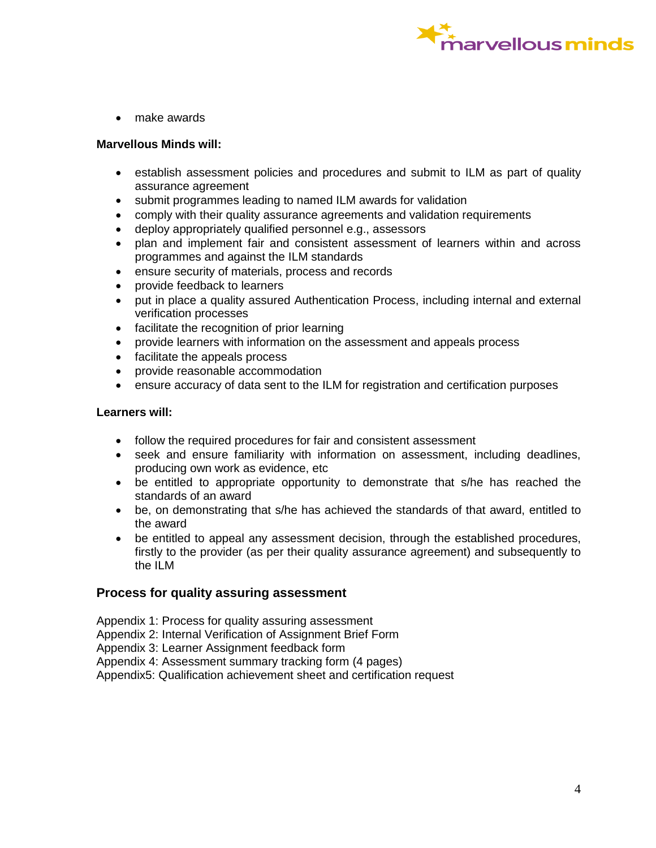

• make awards

### **Marvellous Minds will:**

- establish assessment policies and procedures and submit to ILM as part of quality assurance agreement
- submit programmes leading to named ILM awards for validation
- comply with their quality assurance agreements and validation requirements
- deploy appropriately qualified personnel e.g., assessors
- plan and implement fair and consistent assessment of learners within and across programmes and against the ILM standards
- ensure security of materials, process and records
- provide feedback to learners
- put in place a quality assured Authentication Process, including internal and external verification processes
- facilitate the recognition of prior learning
- provide learners with information on the assessment and appeals process
- facilitate the appeals process
- provide reasonable accommodation
- ensure accuracy of data sent to the ILM for registration and certification purposes

### **Learners will:**

- follow the required procedures for fair and consistent assessment
- seek and ensure familiarity with information on assessment, including deadlines, producing own work as evidence, etc
- be entitled to appropriate opportunity to demonstrate that s/he has reached the standards of an award
- be, on demonstrating that s/he has achieved the standards of that award, entitled to the award
- be entitled to appeal any assessment decision, through the established procedures, firstly to the provider (as per their quality assurance agreement) and subsequently to the ILM

### **Process for quality assuring assessment**

Appendix 1: Process for quality assuring assessment Appendix 2: Internal Verification of Assignment Brief Form

Appendix 3: Learner Assignment feedback form

Appendix 4: Assessment summary tracking form (4 pages)

Appendix5: Qualification achievement sheet and certification request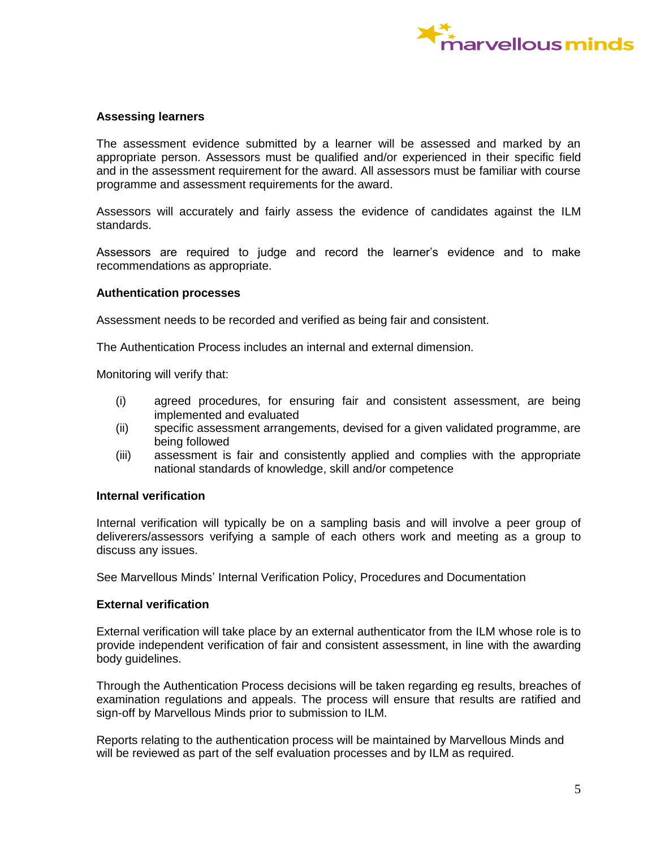

### **Assessing learners**

The assessment evidence submitted by a learner will be assessed and marked by an appropriate person. Assessors must be qualified and/or experienced in their specific field and in the assessment requirement for the award. All assessors must be familiar with course programme and assessment requirements for the award.

Assessors will accurately and fairly assess the evidence of candidates against the ILM standards.

Assessors are required to judge and record the learner's evidence and to make recommendations as appropriate.

#### **Authentication processes**

Assessment needs to be recorded and verified as being fair and consistent.

The Authentication Process includes an internal and external dimension.

Monitoring will verify that:

- (i) agreed procedures, for ensuring fair and consistent assessment, are being implemented and evaluated
- (ii) specific assessment arrangements, devised for a given validated programme, are being followed
- (iii) assessment is fair and consistently applied and complies with the appropriate national standards of knowledge, skill and/or competence

#### **Internal verification**

Internal verification will typically be on a sampling basis and will involve a peer group of deliverers/assessors verifying a sample of each others work and meeting as a group to discuss any issues.

See Marvellous Minds' Internal Verification Policy, Procedures and Documentation

#### **External verification**

External verification will take place by an external authenticator from the ILM whose role is to provide independent verification of fair and consistent assessment, in line with the awarding body guidelines.

Through the Authentication Process decisions will be taken regarding eg results, breaches of examination regulations and appeals. The process will ensure that results are ratified and sign-off by Marvellous Minds prior to submission to ILM.

Reports relating to the authentication process will be maintained by Marvellous Minds and will be reviewed as part of the self evaluation processes and by ILM as required.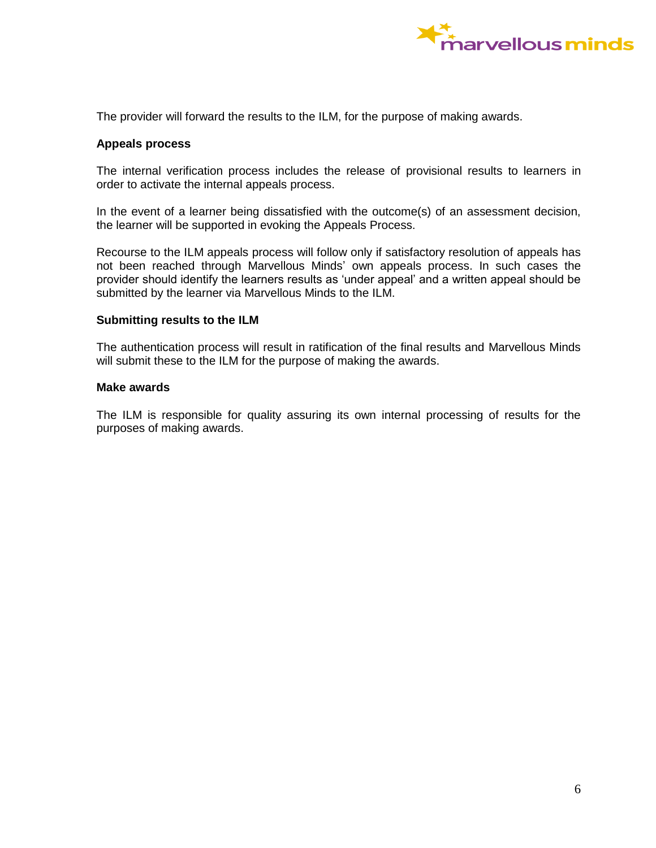

The provider will forward the results to the ILM, for the purpose of making awards.

### **Appeals process**

The internal verification process includes the release of provisional results to learners in order to activate the internal appeals process.

In the event of a learner being dissatisfied with the outcome(s) of an assessment decision, the learner will be supported in evoking the Appeals Process.

Recourse to the ILM appeals process will follow only if satisfactory resolution of appeals has not been reached through Marvellous Minds' own appeals process. In such cases the provider should identify the learners results as 'under appeal' and a written appeal should be submitted by the learner via Marvellous Minds to the ILM.

#### **Submitting results to the ILM**

The authentication process will result in ratification of the final results and Marvellous Minds will submit these to the ILM for the purpose of making the awards.

### **Make awards**

The ILM is responsible for quality assuring its own internal processing of results for the purposes of making awards.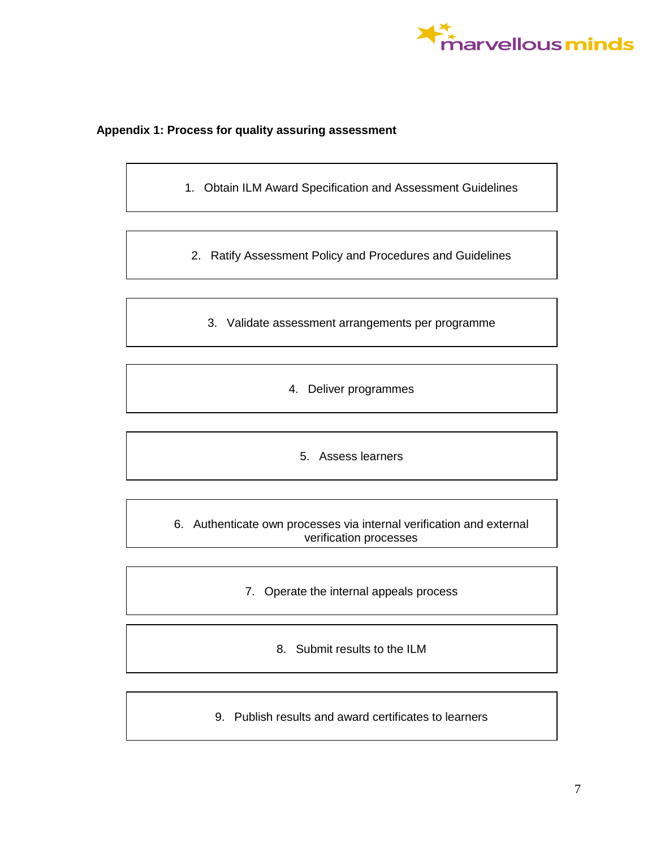

### **Appendix 1: Process for quality assuring assessment**

1. Obtain ILM Award Specification and Assessment Guidelines

2. Ratify Assessment Policy and Procedures and Guidelines

3. Validate assessment arrangements per programme

4. Deliver programmes

5. Assess learners

6. Authenticate own processes via internal verification and external verification processes

- 7. Operate the internal appeals process
	- 8. Submit results to the ILM
- 9. Publish results and award certificates to learners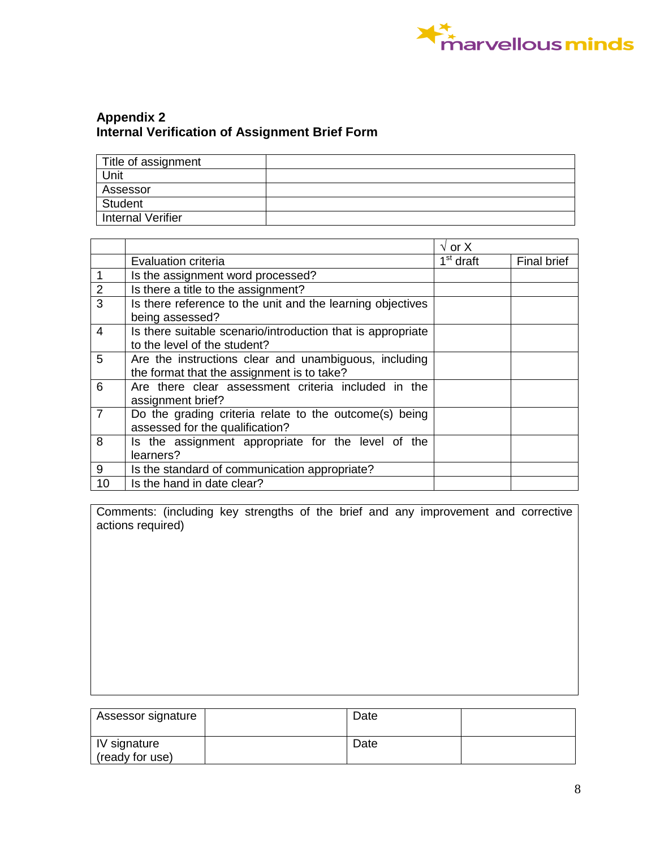

# **Appendix 2 Internal Verification of Assignment Brief Form**

| Title of assignment      |  |
|--------------------------|--|
| Unit                     |  |
| Assessor                 |  |
| Student                  |  |
| <b>Internal Verifier</b> |  |

|                |                                                                                                     | $\sqrt{}$ or X                   |                    |
|----------------|-----------------------------------------------------------------------------------------------------|----------------------------------|--------------------|
|                | Evaluation criteria                                                                                 | $\overline{1}^{\text{st}}$ draft | <b>Final brief</b> |
|                | Is the assignment word processed?                                                                   |                                  |                    |
| 2              | Is there a title to the assignment?                                                                 |                                  |                    |
| 3              | Is there reference to the unit and the learning objectives<br>being assessed?                       |                                  |                    |
| $\overline{4}$ | Is there suitable scenario/introduction that is appropriate<br>to the level of the student?         |                                  |                    |
| 5              | Are the instructions clear and unambiguous, including<br>the format that the assignment is to take? |                                  |                    |
| 6              | Are there clear assessment criteria included in the<br>assignment brief?                            |                                  |                    |
|                | Do the grading criteria relate to the outcome(s) being<br>assessed for the qualification?           |                                  |                    |
| 8              | Is the assignment appropriate for the level of the<br>learners?                                     |                                  |                    |
| 9              | Is the standard of communication appropriate?                                                       |                                  |                    |
| 10             | Is the hand in date clear?                                                                          |                                  |                    |

Comments: (including key strengths of the brief and any improvement and corrective actions required)

| Assessor signature                            | Date |  |
|-----------------------------------------------|------|--|
| <i><b>IV signature</b></i><br>(ready for use) | Date |  |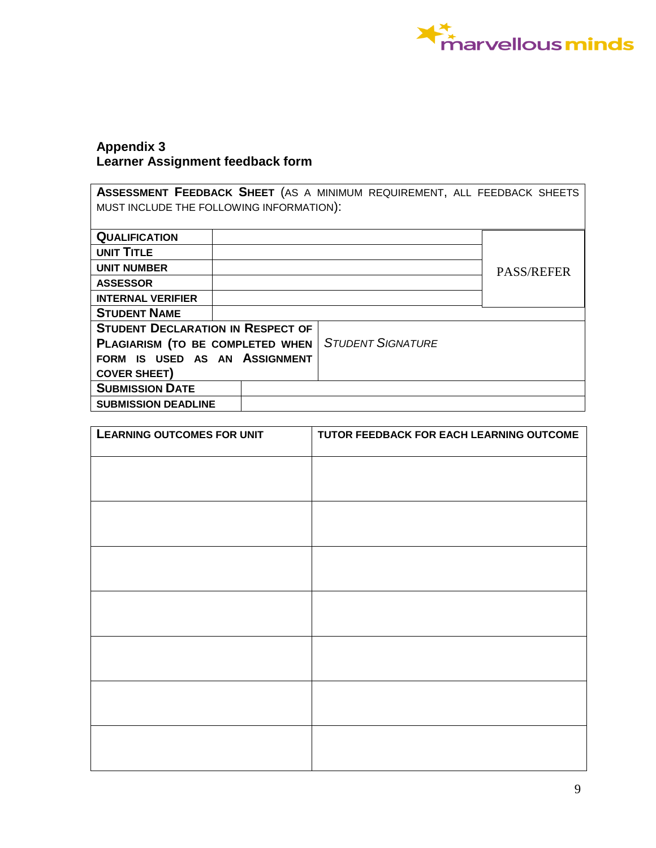

# **Appendix 3 Learner Assignment feedback form**

**ASSESSMENT FEEDBACK SHEET** (AS A MINIMUM REQUIREMENT, ALL FEEDBACK SHEETS MUST INCLUDE THE FOLLOWING INFORMATION):

| <b>QUALIFICATION</b>                     |                          |                   |
|------------------------------------------|--------------------------|-------------------|
| UNIT TITLE                               |                          |                   |
| <b>UNIT NUMBER</b>                       |                          | <b>PASS/REFER</b> |
| <b>ASSESSOR</b>                          |                          |                   |
| <b>INTERNAL VERIFIER</b>                 |                          |                   |
| <b>STUDENT NAME</b>                      |                          |                   |
| <b>STUDENT DECLARATION IN RESPECT OF</b> |                          |                   |
| PLAGIARISM (TO BE COMPLETED WHEN         | <b>STUDENT SIGNATURE</b> |                   |
| FORM IS USED AS AN ASSIGNMENT            |                          |                   |
| <b>COVER SHEET)</b>                      |                          |                   |
| <b>SUBMISSION DATE</b>                   |                          |                   |
| <b>SUBMISSION DEADLINE</b>               |                          |                   |

| <b>LEARNING OUTCOMES FOR UNIT</b> | TUTOR FEEDBACK FOR EACH LEARNING OUTCOME |
|-----------------------------------|------------------------------------------|
|                                   |                                          |
|                                   |                                          |
|                                   |                                          |
|                                   |                                          |
|                                   |                                          |
|                                   |                                          |
|                                   |                                          |
|                                   |                                          |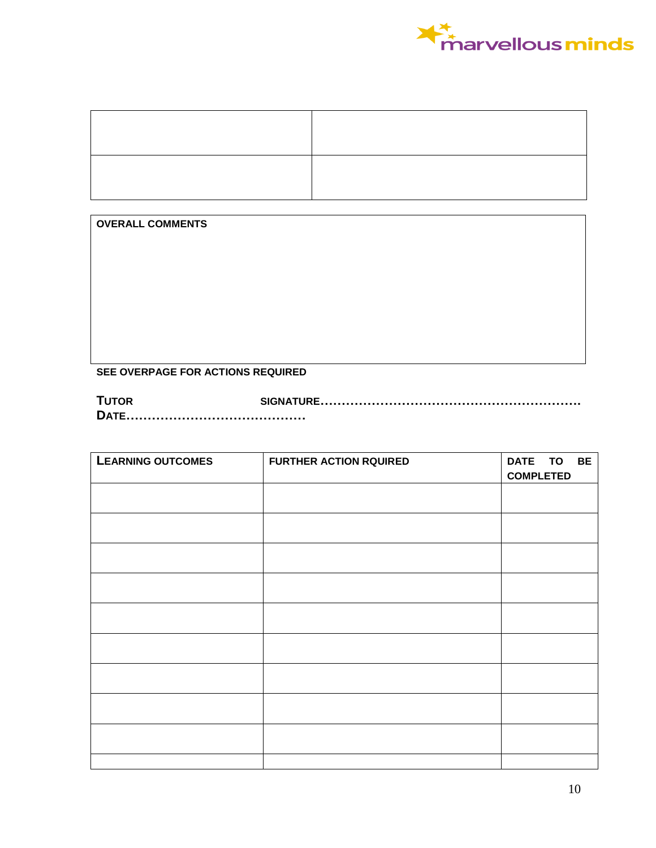

**OVERALL COMMENTS**

### **SEE OVERPAGE FOR ACTIONS REQUIRED**

**TUTOR SIGNATURE……………………………………………………. DATE……………………………………**

| <b>LEARNING OUTCOMES</b> | <b>FURTHER ACTION RQUIRED</b> | DATE TO          | <b>BE</b> |
|--------------------------|-------------------------------|------------------|-----------|
|                          |                               | <b>COMPLETED</b> |           |
|                          |                               |                  |           |
|                          |                               |                  |           |
|                          |                               |                  |           |
|                          |                               |                  |           |
|                          |                               |                  |           |
|                          |                               |                  |           |
|                          |                               |                  |           |
|                          |                               |                  |           |
|                          |                               |                  |           |
|                          |                               |                  |           |
|                          |                               |                  |           |
|                          |                               |                  |           |
|                          |                               |                  |           |
|                          |                               |                  |           |
|                          |                               |                  |           |
|                          |                               |                  |           |
|                          |                               |                  |           |
|                          |                               |                  |           |
|                          |                               |                  |           |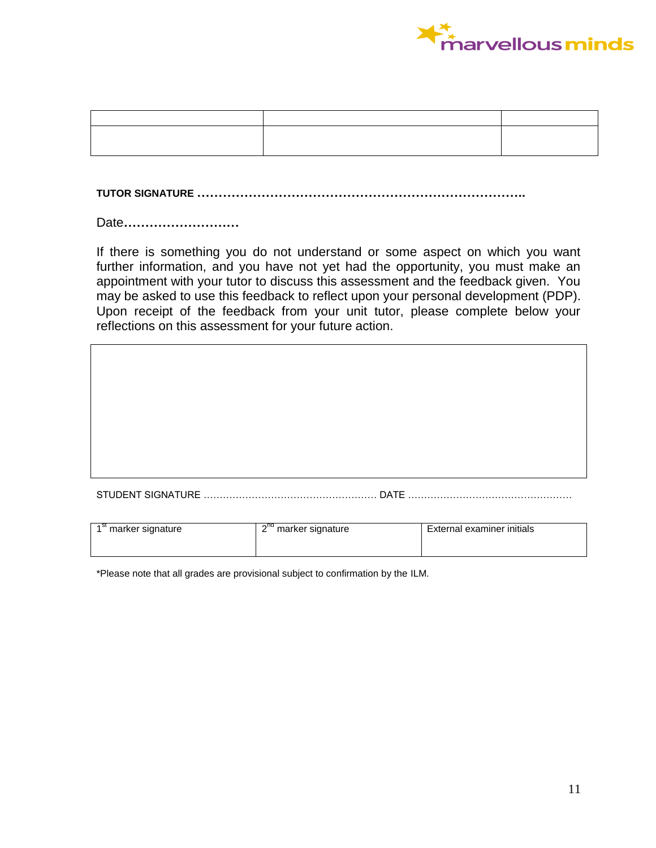

**TUTOR SIGNATURE …………………………………………………………………..**

Date**………………………**

If there is something you do not understand or some aspect on which you want further information, and you have not yet had the opportunity, you must make an appointment with your tutor to discuss this assessment and the feedback given. You may be asked to use this feedback to reflect upon your personal development (PDP). Upon receipt of the feedback from your unit tutor, please complete below your reflections on this assessment for your future action.

STUDENT SIGNATURE ……………………………………………… DATE ……………………………………………

| marker signature | <b>OUT</b><br>marker signature<br>ے | External examiner initials |
|------------------|-------------------------------------|----------------------------|
|                  |                                     |                            |

\*Please note that all grades are provisional subject to confirmation by the ILM.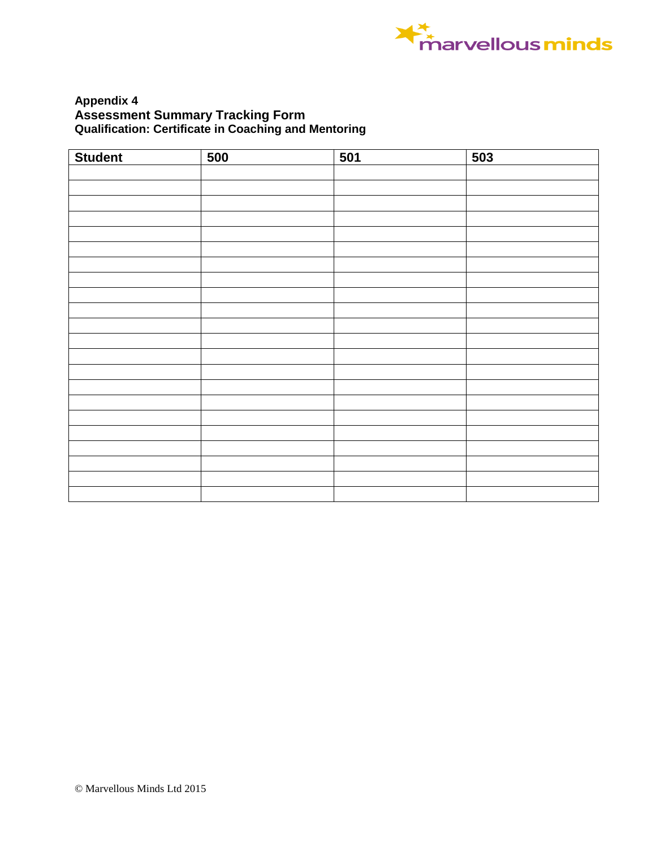

### **Appendix 4 Assessment Summary Tracking Form Qualification: Certificate in Coaching and Mentoring**

| <b>Student</b> | 500 | 501 | 503 |
|----------------|-----|-----|-----|
|                |     |     |     |
|                |     |     |     |
|                |     |     |     |
|                |     |     |     |
|                |     |     |     |
|                |     |     |     |
|                |     |     |     |
|                |     |     |     |
|                |     |     |     |
|                |     |     |     |
|                |     |     |     |
|                |     |     |     |
|                |     |     |     |
|                |     |     |     |
|                |     |     |     |
|                |     |     |     |
|                |     |     |     |
|                |     |     |     |
|                |     |     |     |
|                |     |     |     |
|                |     |     |     |
|                |     |     |     |